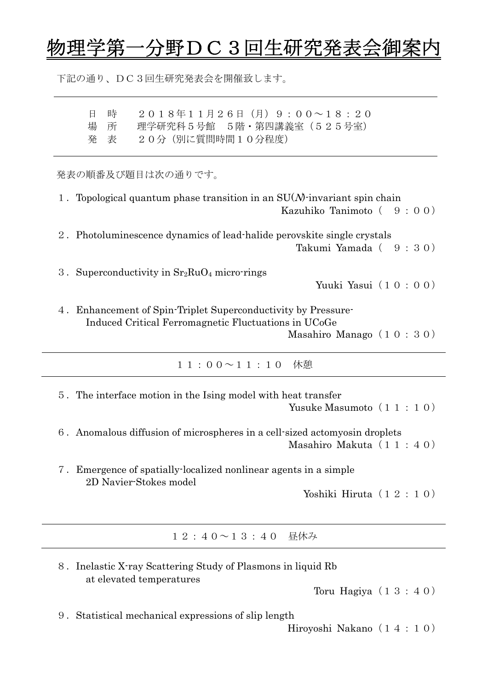## ·野DC3回生研究発表会御

下記の通り、DC3回生研究発表会を開催致します。

| $20184117267 (1) 9:00 \sim 18:20$<br>時<br>日<br>理学研究科 5号館 5階·第四講義室 (525号室)<br>場<br>所<br>20分 (別に質問時間10分程度)<br>発<br>表                                        |
|-----------------------------------------------------------------------------------------------------------------------------------------------------------|
| 発表の順番及び題目は次の通りです。                                                                                                                                         |
| Topological quantum phase transition in an $SU(N)$ -invariant spin chain<br>Kazuhiko Tanimoto $(9:00)$                                                    |
| 2. Photoluminescence dynamics of lead-halide perovskite single crystals<br>Takumi Yamada (9:30)                                                           |
| 3. Superconductivity in $Sr2RuO4$ micro-rings<br>Yuuki Yasui (10:00)                                                                                      |
| Enhancement of Spin-Triplet Superconductivity by Pressure-<br>4.<br>Induced Critical Ferromagnetic Fluctuations in UCoGe<br>Masahiro Manago $(1 0 : 3 0)$ |
| $11:00 \sim 11:10$ 休憩                                                                                                                                     |
| 5. The interface motion in the Ising model with heat transfer<br>Yusuke Masumoto (11:10)                                                                  |

- 6.Anomalous diffusion of microspheres in a cell-sized actomyosin droplets Masahiro Makuta (11:40)
- 7.Emergence of spatially-localized nonlinear agents in a simple 2D Navier-Stokes model

Yoshiki Hiruta(12:10)

12:40~13:40 昼休み

| 8. Inelastic X-ray Scattering Study of Plasmons in liquid Rb |  |
|--------------------------------------------------------------|--|
| at elevated temperatures                                     |  |

Toru Hagiya $(13:40)$ 

9.Statistical mechanical expressions of slip length

Hiroyoshi Nakano(14:10)